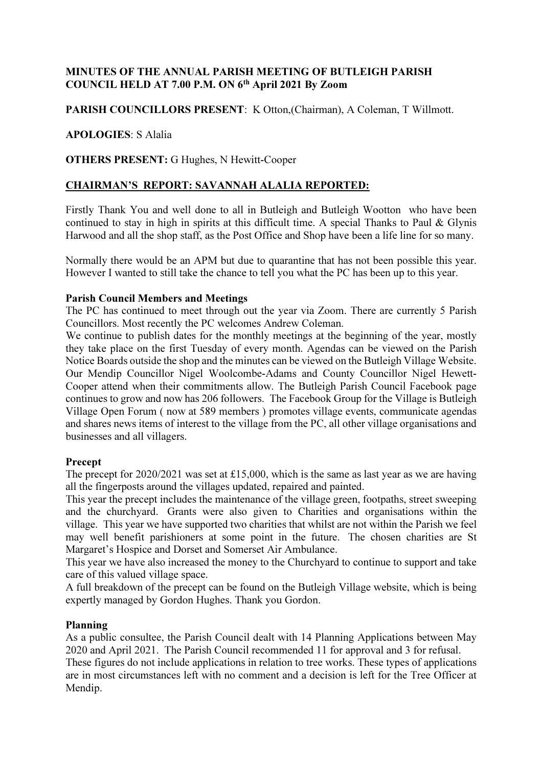## MINUTES OF THE ANNUAL PARISH MEETING OF BUTLEIGH PARISH COUNCIL HELD AT 7.00 P.M. ON 6th April 2021 By Zoom

## PARISH COUNCILLORS PRESENT: K Otton, (Chairman), A Coleman, T Willmott.

### APOLOGIES: S Alalia

## OTHERS PRESENT: G Hughes, N Hewitt-Cooper

## CHAIRMAN'S REPORT: SAVANNAH ALALIA REPORTED:

Firstly Thank You and well done to all in Butleigh and Butleigh Wootton who have been continued to stay in high in spirits at this difficult time. A special Thanks to Paul  $\&$  Glynis Harwood and all the shop staff, as the Post Office and Shop have been a life line for so many.

Normally there would be an APM but due to quarantine that has not been possible this year. However I wanted to still take the chance to tell you what the PC has been up to this year.

#### Parish Council Members and Meetings

The PC has continued to meet through out the year via Zoom. There are currently 5 Parish Councillors. Most recently the PC welcomes Andrew Coleman.

We continue to publish dates for the monthly meetings at the beginning of the year, mostly they take place on the first Tuesday of every month. Agendas can be viewed on the Parish Notice Boards outside the shop and the minutes can be viewed on the Butleigh Village Website. Our Mendip Councillor Nigel Woolcombe-Adams and County Councillor Nigel Hewett-Cooper attend when their commitments allow. The Butleigh Parish Council Facebook page continues to grow and now has 206 followers. The Facebook Group for the Village is Butleigh Village Open Forum ( now at 589 members ) promotes village events, communicate agendas and shares news items of interest to the village from the PC, all other village organisations and businesses and all villagers.

#### Precept

The precept for 2020/2021 was set at £15,000, which is the same as last year as we are having all the fingerposts around the villages updated, repaired and painted.

This year the precept includes the maintenance of the village green, footpaths, street sweeping and the churchyard. Grants were also given to Charities and organisations within the village. This year we have supported two charities that whilst are not within the Parish we feel may well benefit parishioners at some point in the future. The chosen charities are St Margaret's Hospice and Dorset and Somerset Air Ambulance.

This year we have also increased the money to the Churchyard to continue to support and take care of this valued village space.

A full breakdown of the precept can be found on the Butleigh Village website, which is being expertly managed by Gordon Hughes. Thank you Gordon.

#### Planning

As a public consultee, the Parish Council dealt with 14 Planning Applications between May 2020 and April 2021. The Parish Council recommended 11 for approval and 3 for refusal.

These figures do not include applications in relation to tree works. These types of applications are in most circumstances left with no comment and a decision is left for the Tree Officer at Mendip.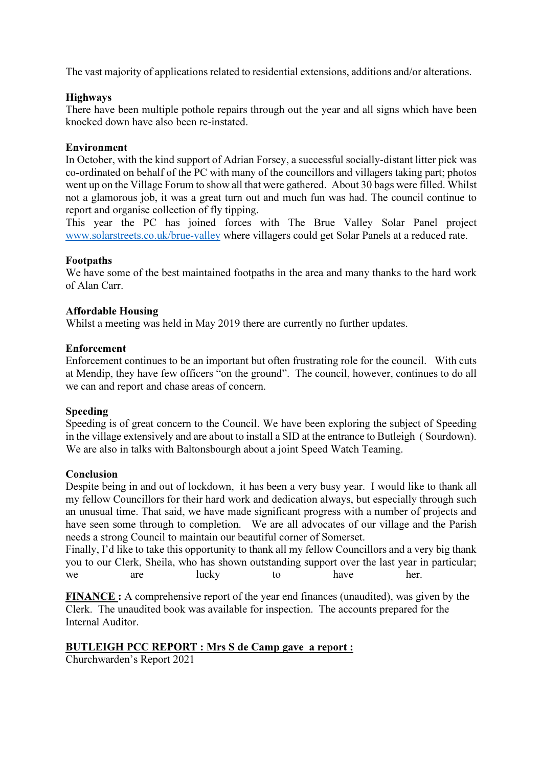The vast majority of applications related to residential extensions, additions and/or alterations.

#### Highways

There have been multiple pothole repairs through out the year and all signs which have been knocked down have also been re-instated.

### Environment

In October, with the kind support of Adrian Forsey, a successful socially-distant litter pick was co-ordinated on behalf of the PC with many of the councillors and villagers taking part; photos went up on the Village Forum to show all that were gathered. About 30 bags were filled. Whilst not a glamorous job, it was a great turn out and much fun was had. The council continue to report and organise collection of fly tipping.

This year the PC has joined forces with The Brue Valley Solar Panel project www.solarstreets.co.uk/brue-valley where villagers could get Solar Panels at a reduced rate.

## Footpaths

We have some of the best maintained footpaths in the area and many thanks to the hard work of Alan Carr.

### Affordable Housing

Whilst a meeting was held in May 2019 there are currently no further updates.

### Enforcement

Enforcement continues to be an important but often frustrating role for the council. With cuts at Mendip, they have few officers "on the ground". The council, however, continues to do all we can and report and chase areas of concern.

#### Speeding

Speeding is of great concern to the Council. We have been exploring the subject of Speeding in the village extensively and are about to install a SID at the entrance to Butleigh ( Sourdown). We are also in talks with Baltonsbourgh about a joint Speed Watch Teaming.

#### Conclusion

Despite being in and out of lockdown, it has been a very busy year. I would like to thank all my fellow Councillors for their hard work and dedication always, but especially through such an unusual time. That said, we have made significant progress with a number of projects and have seen some through to completion. We are all advocates of our village and the Parish needs a strong Council to maintain our beautiful corner of Somerset.

Finally, I'd like to take this opportunity to thank all my fellow Councillors and a very big thank you to our Clerk, Sheila, who has shown outstanding support over the last year in particular; we are lucky to have her.

FINANCE : A comprehensive report of the year end finances (unaudited), was given by the Clerk. The unaudited book was available for inspection. The accounts prepared for the Internal Auditor.

## BUTLEIGH PCC REPORT : Mrs S de Camp gave a report :

Churchwarden's Report 2021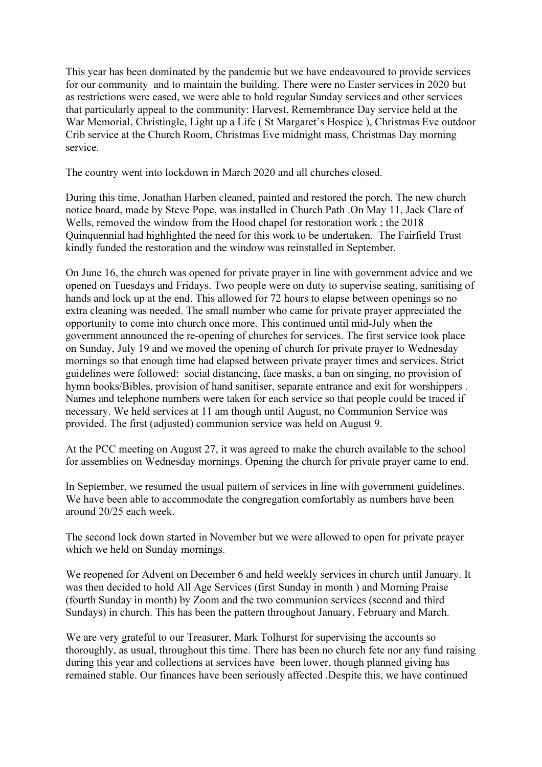This year has been dominated by the pandemic but we have endeavoured to provide services for our community and to maintain the building. There were no Easter services in 2020 but as restrictions were eased, we were able to hold regular Sunday services and other services that particularly appeal to the community: Harvest, Remembrance Day service held at the War Memorial, Christingle, Light up a Life ( St Margaret's Hospice ), Christmas Eve outdoor Crib service at the Church Room, Christmas Eve midnight mass, Christmas Day morning service.

The country went into lockdown in March 2020 and all churches closed.

During this time, Jonathan Harben cleaned, painted and restored the porch. The new church notice board, made by Steve Pope, was installed in Church Path .On May 11, Jack Clare of Wells, removed the window from the Hood chapel for restoration work ; the 2018 Quinquennial had highlighted the need for this work to be undertaken. The Fairfield Trust kindly funded the restoration and the window was reinstalled in September.

On June 16, the church was opened for private prayer in line with government advice and we opened on Tuesdays and Fridays. Two people were on duty to supervise seating, sanitising of hands and lock up at the end. This allowed for 72 hours to elapse between openings so no extra cleaning was needed. The small number who came for private prayer appreciated the opportunity to come into church once more. This continued until mid-July when the government announced the re-opening of churches for services. The first service took place on Sunday, July 19 and we moved the opening of church for private prayer to Wednesday mornings so that enough time had elapsed between private prayer times and services. Strict guidelines were followed: social distancing, face masks, a ban on singing, no provision of hymn books/Bibles, provision of hand sanitiser, separate entrance and exit for worshippers . Names and telephone numbers were taken for each service so that people could be traced if necessary. We held services at 11 am though until August, no Communion Service was provided. The first (adjusted) communion service was held on August 9.

At the PCC meeting on August 27, it was agreed to make the church available to the school for assemblies on Wednesday mornings. Opening the church for private prayer came to end.

In September, we resumed the usual pattern of services in line with government guidelines. We have been able to accommodate the congregation comfortably as numbers have been around 20/25 each week.

The second lock down started in November but we were allowed to open for private prayer which we held on Sunday mornings.

We reopened for Advent on December 6 and held weekly services in church until January. It was then decided to hold All Age Services (first Sunday in month ) and Morning Praise (fourth Sunday in month) by Zoom and the two communion services (second and third Sundays) in church. This has been the pattern throughout January, February and March.

We are very grateful to our Treasurer, Mark Tolhurst for supervising the accounts so thoroughly, as usual, throughout this time. There has been no church fete nor any fund raising during this year and collections at services have been lower, though planned giving has remained stable. Our finances have been seriously affected .Despite this, we have continued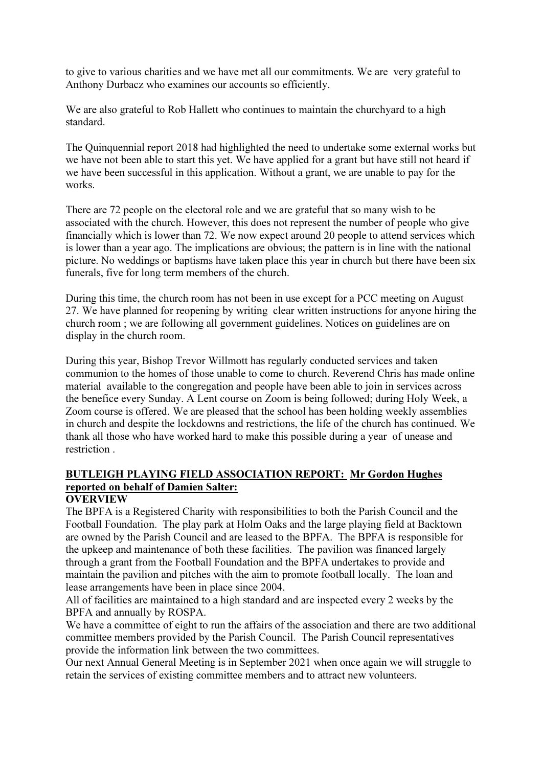to give to various charities and we have met all our commitments. We are very grateful to Anthony Durbacz who examines our accounts so efficiently.

We are also grateful to Rob Hallett who continues to maintain the churchyard to a high standard.

The Quinquennial report 2018 had highlighted the need to undertake some external works but we have not been able to start this yet. We have applied for a grant but have still not heard if we have been successful in this application. Without a grant, we are unable to pay for the works.

There are 72 people on the electoral role and we are grateful that so many wish to be associated with the church. However, this does not represent the number of people who give financially which is lower than 72. We now expect around 20 people to attend services which is lower than a year ago. The implications are obvious; the pattern is in line with the national picture. No weddings or baptisms have taken place this year in church but there have been six funerals, five for long term members of the church.

During this time, the church room has not been in use except for a PCC meeting on August 27. We have planned for reopening by writing clear written instructions for anyone hiring the church room ; we are following all government guidelines. Notices on guidelines are on display in the church room.

During this year, Bishop Trevor Willmott has regularly conducted services and taken communion to the homes of those unable to come to church. Reverend Chris has made online material available to the congregation and people have been able to join in services across the benefice every Sunday. A Lent course on Zoom is being followed; during Holy Week, a Zoom course is offered. We are pleased that the school has been holding weekly assemblies in church and despite the lockdowns and restrictions, the life of the church has continued. We thank all those who have worked hard to make this possible during a year of unease and restriction .

## BUTLEIGH PLAYING FIELD ASSOCIATION REPORT: Mr Gordon Hughes reported on behalf of Damien Salter:

## **OVERVIEW**

The BPFA is a Registered Charity with responsibilities to both the Parish Council and the Football Foundation. The play park at Holm Oaks and the large playing field at Backtown are owned by the Parish Council and are leased to the BPFA. The BPFA is responsible for the upkeep and maintenance of both these facilities. The pavilion was financed largely through a grant from the Football Foundation and the BPFA undertakes to provide and maintain the pavilion and pitches with the aim to promote football locally. The loan and lease arrangements have been in place since 2004.

All of facilities are maintained to a high standard and are inspected every 2 weeks by the BPFA and annually by ROSPA.

We have a committee of eight to run the affairs of the association and there are two additional committee members provided by the Parish Council. The Parish Council representatives provide the information link between the two committees.

Our next Annual General Meeting is in September 2021 when once again we will struggle to retain the services of existing committee members and to attract new volunteers.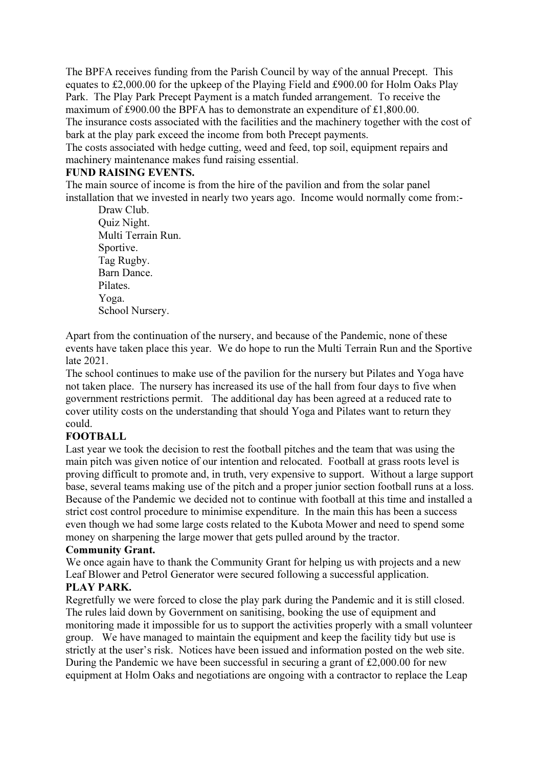The BPFA receives funding from the Parish Council by way of the annual Precept. This equates to £2,000.00 for the upkeep of the Playing Field and £900.00 for Holm Oaks Play Park. The Play Park Precept Payment is a match funded arrangement. To receive the maximum of £900.00 the BPFA has to demonstrate an expenditure of £1,800.00. The insurance costs associated with the facilities and the machinery together with the cost of bark at the play park exceed the income from both Precept payments.

The costs associated with hedge cutting, weed and feed, top soil, equipment repairs and machinery maintenance makes fund raising essential.

#### FUND RAISING EVENTS.

The main source of income is from the hire of the pavilion and from the solar panel installation that we invested in nearly two years ago. Income would normally come from:-

Draw Club. Quiz Night. Multi Terrain Run. Sportive. Tag Rugby. Barn Dance. Pilates. Yoga. School Nursery.

Apart from the continuation of the nursery, and because of the Pandemic, none of these events have taken place this year. We do hope to run the Multi Terrain Run and the Sportive late 2021.

The school continues to make use of the pavilion for the nursery but Pilates and Yoga have not taken place. The nursery has increased its use of the hall from four days to five when government restrictions permit. The additional day has been agreed at a reduced rate to cover utility costs on the understanding that should Yoga and Pilates want to return they could.

#### **FOOTBALL**

Last year we took the decision to rest the football pitches and the team that was using the main pitch was given notice of our intention and relocated. Football at grass roots level is proving difficult to promote and, in truth, very expensive to support. Without a large support base, several teams making use of the pitch and a proper junior section football runs at a loss. Because of the Pandemic we decided not to continue with football at this time and installed a strict cost control procedure to minimise expenditure. In the main this has been a success even though we had some large costs related to the Kubota Mower and need to spend some money on sharpening the large mower that gets pulled around by the tractor.

#### Community Grant.

We once again have to thank the Community Grant for helping us with projects and a new Leaf Blower and Petrol Generator were secured following a successful application. PLAY PARK.

Regretfully we were forced to close the play park during the Pandemic and it is still closed. The rules laid down by Government on sanitising, booking the use of equipment and monitoring made it impossible for us to support the activities properly with a small volunteer group. We have managed to maintain the equipment and keep the facility tidy but use is strictly at the user's risk. Notices have been issued and information posted on the web site. During the Pandemic we have been successful in securing a grant of £2,000.00 for new equipment at Holm Oaks and negotiations are ongoing with a contractor to replace the Leap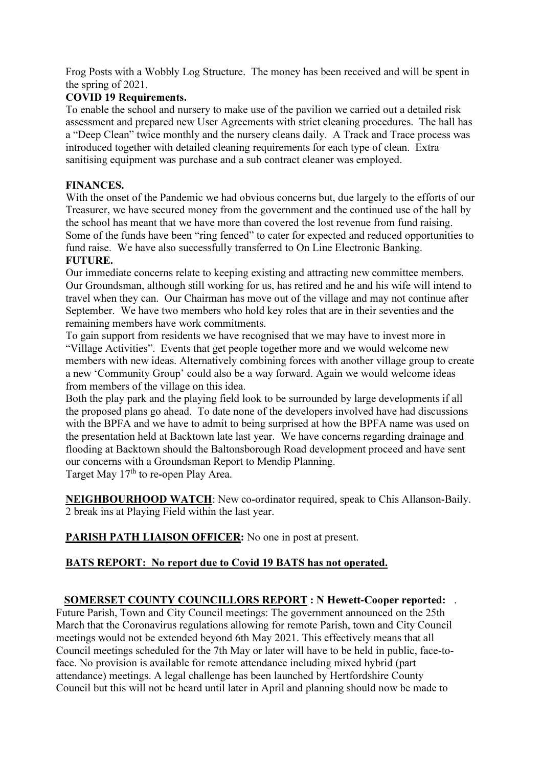Frog Posts with a Wobbly Log Structure. The money has been received and will be spent in the spring of 2021.

## COVID 19 Requirements.

To enable the school and nursery to make use of the pavilion we carried out a detailed risk assessment and prepared new User Agreements with strict cleaning procedures. The hall has a "Deep Clean" twice monthly and the nursery cleans daily. A Track and Trace process was introduced together with detailed cleaning requirements for each type of clean. Extra sanitising equipment was purchase and a sub contract cleaner was employed.

## FINANCES.

With the onset of the Pandemic we had obvious concerns but, due largely to the efforts of our Treasurer, we have secured money from the government and the continued use of the hall by the school has meant that we have more than covered the lost revenue from fund raising. Some of the funds have been "ring fenced" to cater for expected and reduced opportunities to fund raise. We have also successfully transferred to On Line Electronic Banking. FUTURE.

Our immediate concerns relate to keeping existing and attracting new committee members. Our Groundsman, although still working for us, has retired and he and his wife will intend to travel when they can. Our Chairman has move out of the village and may not continue after September. We have two members who hold key roles that are in their seventies and the remaining members have work commitments.

To gain support from residents we have recognised that we may have to invest more in "Village Activities". Events that get people together more and we would welcome new members with new ideas. Alternatively combining forces with another village group to create a new 'Community Group' could also be a way forward. Again we would welcome ideas from members of the village on this idea.

Both the play park and the playing field look to be surrounded by large developments if all the proposed plans go ahead. To date none of the developers involved have had discussions with the BPFA and we have to admit to being surprised at how the BPFA name was used on the presentation held at Backtown late last year. We have concerns regarding drainage and flooding at Backtown should the Baltonsborough Road development proceed and have sent our concerns with a Groundsman Report to Mendip Planning. Target May 17<sup>th</sup> to re-open Play Area.

NEIGHBOURHOOD WATCH: New co-ordinator required, speak to Chis Allanson-Baily. 2 break ins at Playing Field within the last year.

PARISH PATH LIAISON OFFICER: No one in post at present.

# BATS REPORT: No report due to Covid 19 BATS has not operated.

## SOMERSET COUNTY COUNCILLORS REPORT : N Hewett-Cooper reported: .

Future Parish, Town and City Council meetings: The government announced on the 25th March that the Coronavirus regulations allowing for remote Parish, town and City Council meetings would not be extended beyond 6th May 2021. This effectively means that all Council meetings scheduled for the 7th May or later will have to be held in public, face-toface. No provision is available for remote attendance including mixed hybrid (part attendance) meetings. A legal challenge has been launched by Hertfordshire County Council but this will not be heard until later in April and planning should now be made to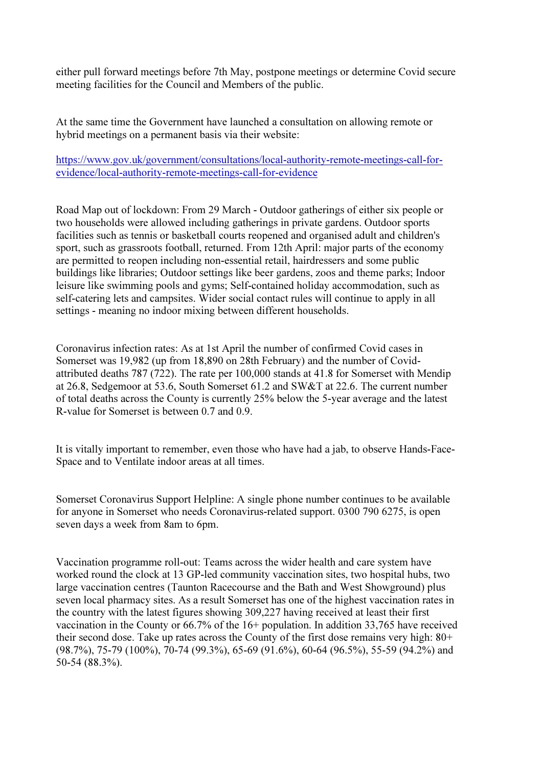either pull forward meetings before 7th May, postpone meetings or determine Covid secure meeting facilities for the Council and Members of the public.

At the same time the Government have launched a consultation on allowing remote or hybrid meetings on a permanent basis via their website:

https://www.gov.uk/government/consultations/local-authority-remote-meetings-call-forevidence/local-authority-remote-meetings-call-for-evidence

Road Map out of lockdown: From 29 March - Outdoor gatherings of either six people or two households were allowed including gatherings in private gardens. Outdoor sports facilities such as tennis or basketball courts reopened and organised adult and children's sport, such as grassroots football, returned. From 12th April: major parts of the economy are permitted to reopen including non-essential retail, hairdressers and some public buildings like libraries; Outdoor settings like beer gardens, zoos and theme parks; Indoor leisure like swimming pools and gyms; Self-contained holiday accommodation, such as self-catering lets and campsites. Wider social contact rules will continue to apply in all settings - meaning no indoor mixing between different households.

Coronavirus infection rates: As at 1st April the number of confirmed Covid cases in Somerset was 19,982 (up from 18,890 on 28th February) and the number of Covidattributed deaths 787 (722). The rate per 100,000 stands at 41.8 for Somerset with Mendip at 26.8, Sedgemoor at 53.6, South Somerset 61.2 and SW&T at 22.6. The current number of total deaths across the County is currently 25% below the 5-year average and the latest R-value for Somerset is between 0.7 and 0.9.

It is vitally important to remember, even those who have had a jab, to observe Hands-Face-Space and to Ventilate indoor areas at all times.

Somerset Coronavirus Support Helpline: A single phone number continues to be available for anyone in Somerset who needs Coronavirus-related support. 0300 790 6275, is open seven days a week from 8am to 6pm.

Vaccination programme roll-out: Teams across the wider health and care system have worked round the clock at 13 GP-led community vaccination sites, two hospital hubs, two large vaccination centres (Taunton Racecourse and the Bath and West Showground) plus seven local pharmacy sites. As a result Somerset has one of the highest vaccination rates in the country with the latest figures showing 309,227 having received at least their first vaccination in the County or 66.7% of the 16+ population. In addition 33,765 have received their second dose. Take up rates across the County of the first dose remains very high: 80+ (98.7%), 75-79 (100%), 70-74 (99.3%), 65-69 (91.6%), 60-64 (96.5%), 55-59 (94.2%) and 50-54 (88.3%).